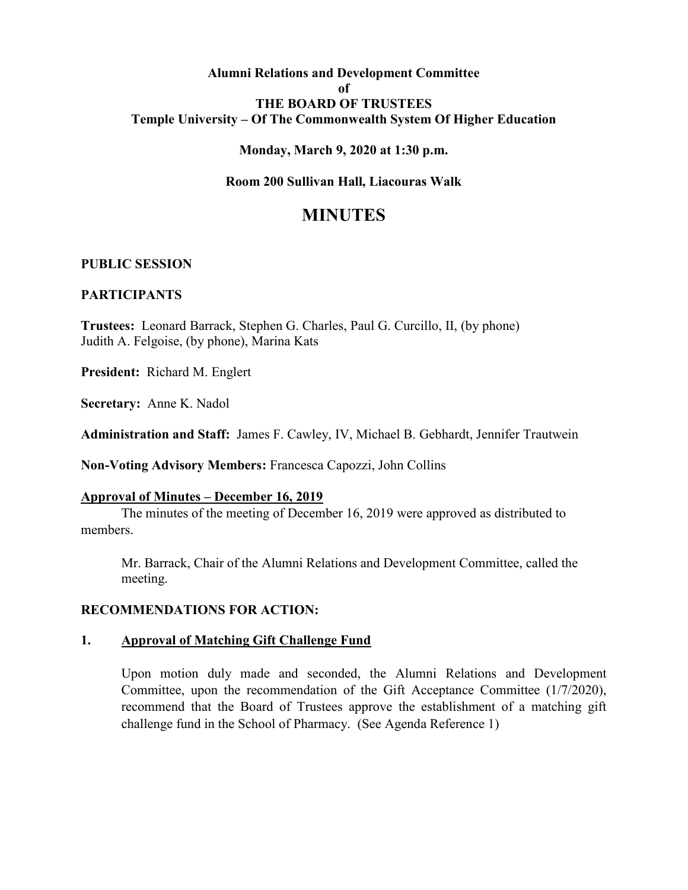### **Alumni Relations and Development Committee of THE BOARD OF TRUSTEES Temple University – Of The Commonwealth System Of Higher Education**

### **Monday, March 9, 2020 at 1:30 p.m.**

### **Room 200 Sullivan Hall, Liacouras Walk**

# **MINUTES**

### **PUBLIC SESSION**

### **PARTICIPANTS**

**Trustees:** Leonard Barrack, Stephen G. Charles, Paul G. Curcillo, II, (by phone) Judith A. Felgoise, (by phone), Marina Kats

**President:** Richard M. Englert

**Secretary:** Anne K. Nadol

**Administration and Staff:** James F. Cawley, IV, Michael B. Gebhardt, Jennifer Trautwein

**Non-Voting Advisory Members:** Francesca Capozzi, John Collins

# **Approval of Minutes – December 16, 2019**

The minutes of the meeting of December 16, 2019 were approved as distributed to members.

Mr. Barrack, Chair of the Alumni Relations and Development Committee, called the meeting.

### **RECOMMENDATIONS FOR ACTION:**

#### **1. Approval of Matching Gift Challenge Fund**

Upon motion duly made and seconded, the Alumni Relations and Development Committee, upon the recommendation of the Gift Acceptance Committee (1/7/2020), recommend that the Board of Trustees approve the establishment of a matching gift challenge fund in the School of Pharmacy. (See Agenda Reference 1)